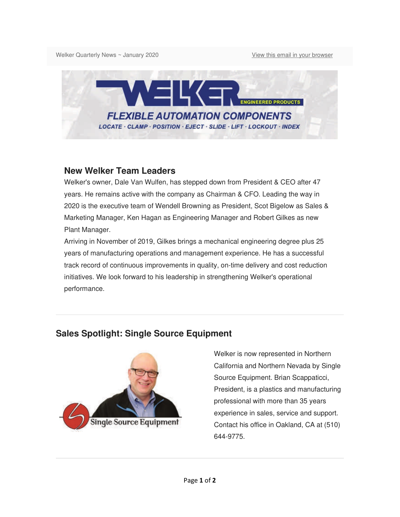Welker Quarterly News ~ January 2020 View this email in your browser



#### **New Welker Team Leaders**

Welker's owner, Dale Van Wulfen, has stepped down from President & CEO after 47 years. He remains active with the company as Chairman & CFO. Leading the way in 2020 is the executive team of Wendell Browning as President, Scot Bigelow as Sales & Marketing Manager, Ken Hagan as Engineering Manager and Robert Gilkes as new Plant Manager.

Arriving in November of 2019, Gilkes brings a mechanical engineering degree plus 25 years of manufacturing operations and management experience. He has a successful track record of continuous improvements in quality, on-time delivery and cost reduction initiatives. We look forward to his leadership in strengthening Welker's operational performance.

# **Sales Spotlight: Single Source Equipment**



Welker is now represented in Northern California and Northern Nevada by Single Source Equipment. Brian Scappaticci, President, is a plastics and manufacturing professional with more than 35 years experience in sales, service and support. Contact his office in Oakland, CA at (510) 644-9775.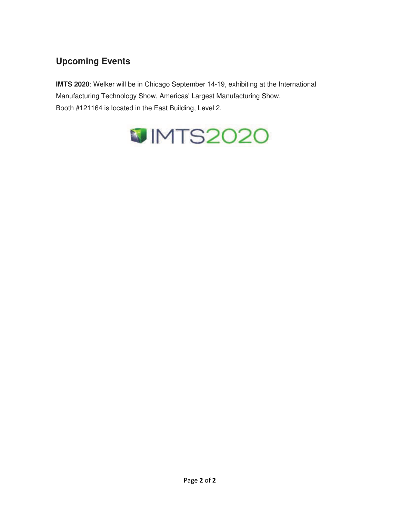# **Upcoming Events**

**IMTS 2020**: Welker will be in Chicago September 14-19, exhibiting at the International Manufacturing Technology Show, Americas' Largest Manufacturing Show. Booth #121164 is located in the East Building, Level 2.

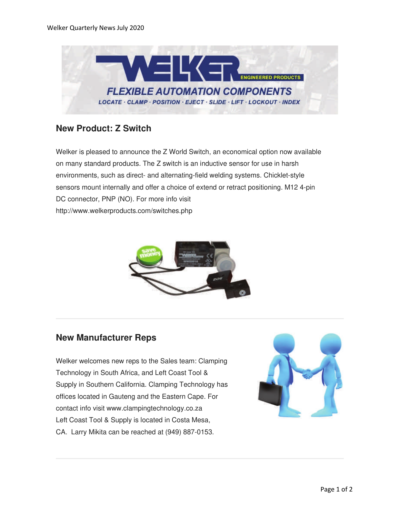

### **New Product: Z Switch**

Welker is pleased to announce the Z World Switch, an economical option now available on many standard products. The Z switch is an inductive sensor for use in harsh environments, such as direct- and alternating-field welding systems. Chicklet-style sensors mount internally and offer a choice of extend or retract positioning. M12 4-pin DC connector, PNP (NO). For more info visit http://www.welkerproducts.com/switches.php



#### **New Manufacturer Reps**

Welker welcomes new reps to the Sales team: Clamping Technology in South Africa, and Left Coast Tool & Supply in Southern California. Clamping Technology has offices located in Gauteng and the Eastern Cape. For contact info visit www.clampingtechnology.co.za Left Coast Tool & Supply is located in Costa Mesa, CA. Larry Mikita can be reached at (949) 887-0153.

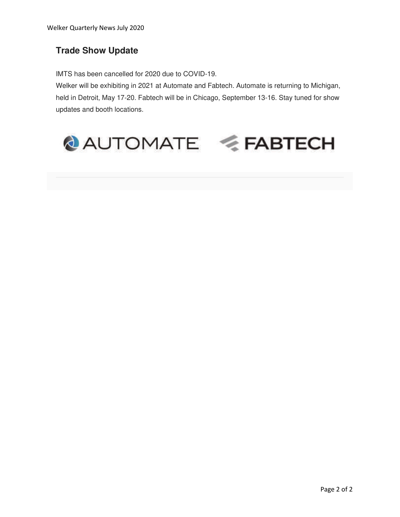### **Trade Show Update**

IMTS has been cancelled for 2020 due to COVID-19.

Welker will be exhibiting in 2021 at Automate and Fabtech. Automate is returning to Michigan, held in Detroit, May 17-20. Fabtech will be in Chicago, September 13-16. Stay tuned for show updates and booth locations.

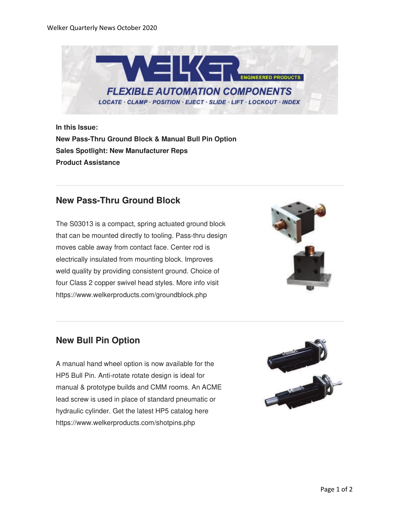

**In this Issue: New Pass-Thru Ground Block & Manual Bull Pin Option Sales Spotlight: New Manufacturer Reps Product Assistance**

#### **New Pass-Thru Ground Block**

The S03013 is a compact, spring actuated ground block that can be mounted directly to tooling. Pass-thru design moves cable away from contact face. Center rod is electrically insulated from mounting block. Improves weld quality by providing consistent ground. Choice of four Class 2 copper swivel head styles. More info visit https://www.welkerproducts.com/groundblock.php



### **New Bull Pin Option**

A manual hand wheel option is now available for the HP5 Bull Pin. Anti-rotate rotate design is ideal for manual & prototype builds and CMM rooms. An ACME lead screw is used in place of standard pneumatic or hydraulic cylinder. Get the latest HP5 catalog here https://www.welkerproducts.com/shotpins.php